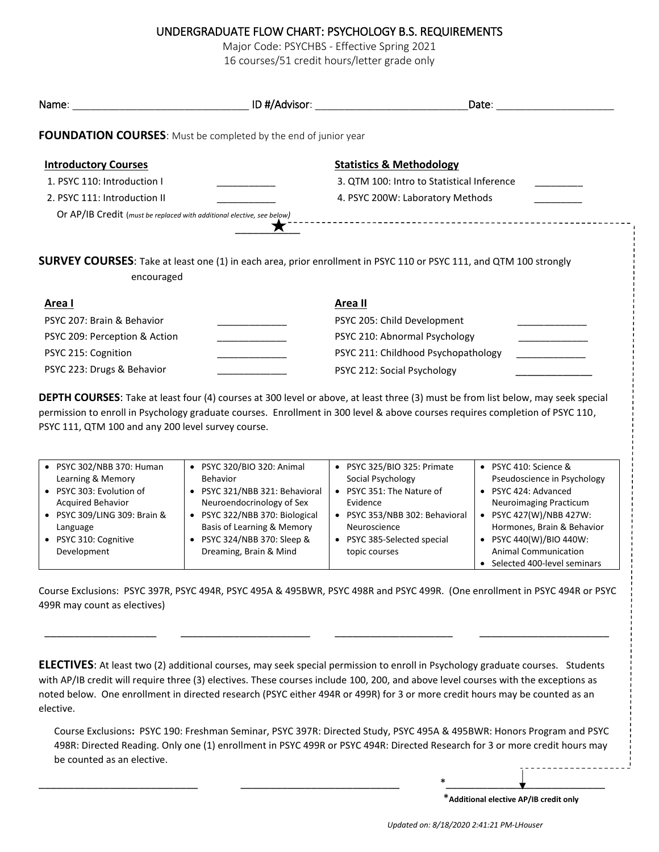## UNDERGRADUATE FLOW CHART: PSYCHOLOGY B.S. REQUIREMENTS

Major Code: PSYCHBS - Effective Spring 2021

16 courses/51 credit hours/letter grade only

|                                                                        |         | Date:                                                                                                                     |
|------------------------------------------------------------------------|---------|---------------------------------------------------------------------------------------------------------------------------|
| FOUNDATION COURSES: Must be completed by the end of junior year        |         |                                                                                                                           |
| <b>Introductory Courses</b>                                            |         | <b>Statistics &amp; Methodology</b>                                                                                       |
| 1. PSYC 110: Introduction I                                            |         | 3. QTM 100: Intro to Statistical Inference                                                                                |
| 2. PSYC 111: Introduction II                                           |         | 4. PSYC 200W: Laboratory Methods                                                                                          |
|                                                                        |         |                                                                                                                           |
| Or AP/IB Credit (must be replaced with additional elective, see below) |         | <b>SURVEY COURSES:</b> Take at least one (1) in each area, prior enrollment in PSYC 110 or PSYC 111, and QTM 100 strongly |
| encouraged<br>Area I                                                   | Area II |                                                                                                                           |
| PSYC 207: Brain & Behavior                                             |         | PSYC 205: Child Development                                                                                               |
| PSYC 209: Perception & Action                                          |         | PSYC 210: Abnormal Psychology<br><u> 1977 - Alexandria III.a (</u>                                                        |
| PSYC 215: Cognition                                                    |         | PSYC 211: Childhood Psychopathology                                                                                       |

permission to enroll in Psychology graduate courses. Enrollment in 300 level & above courses requires completion of PSYC 110, PSYC 111, QTM 100 and any 200 level survey course.

| PSYC 302/NBB 370: Human    | • PSYC 320/BIO 320: Animal     | PSYC 325/BIO 325: Primate    | $\bullet$ | PSYC 410: Science &           |
|----------------------------|--------------------------------|------------------------------|-----------|-------------------------------|
| Learning & Memory          | <b>Behavior</b>                | Social Psychology            |           | Pseudoscience in Psychology   |
| PSYC 303: Evolution of     | • PSYC 321/NBB 321: Behavioral | PSYC 351: The Nature of      |           | PSYC 424: Advanced            |
| <b>Acquired Behavior</b>   | Neuroendocrinology of Sex      | Evidence                     |           | <b>Neuroimaging Practicum</b> |
| PSYC 309/LING 309: Brain & | • PSYC 322/NBB 370: Biological | PSYC 353/NBB 302: Behavioral | $\bullet$ | PSYC 427(W)/NBB 427W:         |
| Language                   | Basis of Learning & Memory     | Neuroscience                 |           | Hormones, Brain & Behavior    |
| PSYC 310: Cognitive        | • PSYC 324/NBB 370: Sleep &    | PSYC 385-Selected special    | $\bullet$ | PSYC 440(W)/BIO 440W:         |
| Development                | Dreaming, Brain & Mind         | topic courses                |           | <b>Animal Communication</b>   |
|                            |                                |                              |           | Selected 400-level seminars   |

Course Exclusions: PSYC 397R, PSYC 494R, PSYC 495A & 495BWR, PSYC 498R and PSYC 499R. (One enrollment in PSYC 494R or PSYC 499R may count as electives)

\_\_\_\_\_\_\_\_\_\_\_\_\_\_\_\_\_\_\_ \_\_\_\_\_\_\_\_\_\_\_\_\_\_\_\_\_\_\_\_\_\_ \_\_\_\_\_\_\_\_\_\_\_\_\_\_\_\_\_\_\_\_ \_\_\_\_\_\_\_\_\_\_\_\_\_\_\_\_\_\_\_\_\_\_

**ELECTIVES**: At least two (2) additional courses, may seek special permission to enroll in Psychology graduate courses. Students with AP/IB credit will require three (3) electives. These courses include 100, 200, and above level courses with the exceptions as noted below. One enrollment in directed research (PSYC either 494R or 499R) for 3 or more credit hours may be counted as an elective.

Course Exclusions**:** PSYC 190: Freshman Seminar, PSYC 397R: Directed Study, PSYC 495A & 495BWR: Honors Program and PSYC 498R: Directed Reading. Only one (1) enrollment in PSYC 499R or PSYC 494R: Directed Research for 3 or more credit hours may be counted as an elective.

\_\_\_\_\_\_\_\_\_\_\_\_\_\_\_\_\_\_\_\_\_\_\_\_\_\_\_ \_\_\_\_\_\_\_\_\_\_\_\_\_\_\_\_\_\_\_\_\_\_\_\_\_\_\_ \*\_\_\_\_\_\_\_\_\_\_\_\_\_\_\_\_\_\_\_\_\_\_\_\_\_\_\_

\***Additional elective AP/IB credit only**